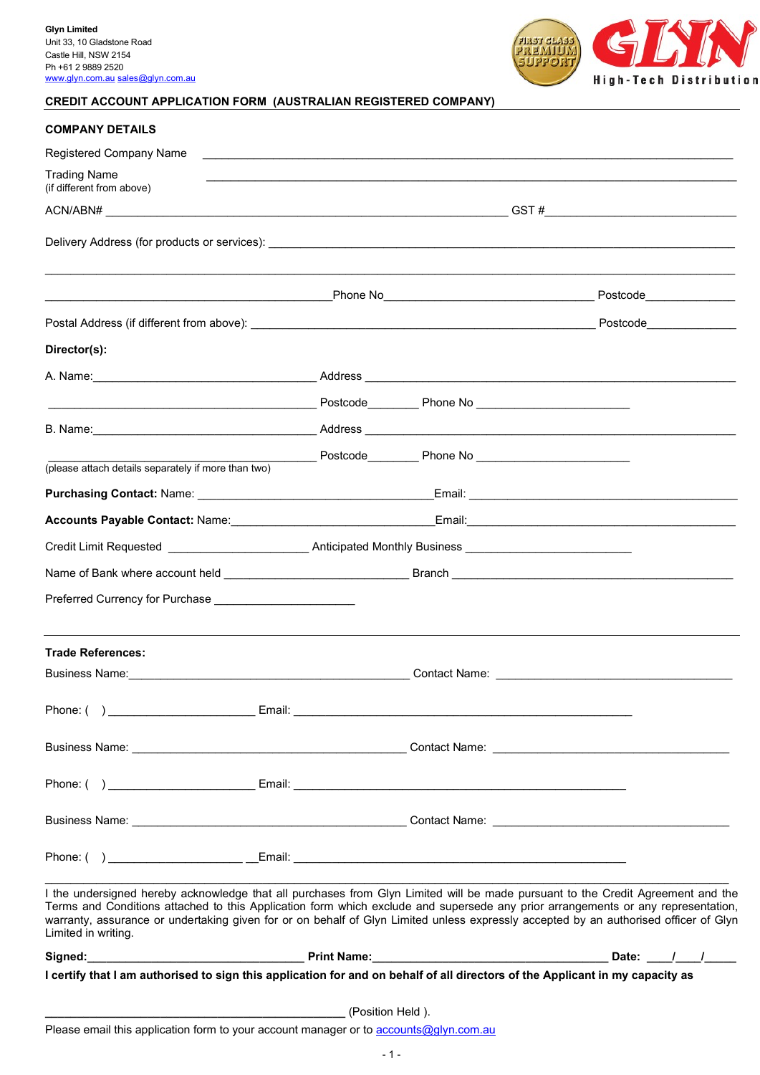

# CREDIT ACCOUNT APPLICATION FORM (AUSTRALIAN REGISTERED COMPANY)

| <b>COMPANY DETAILS</b>                                                                                                                                                                                                                   |                  |                                                  |                                                                                                                                                                                                                                                                                                                                                                                                             |  |
|------------------------------------------------------------------------------------------------------------------------------------------------------------------------------------------------------------------------------------------|------------------|--------------------------------------------------|-------------------------------------------------------------------------------------------------------------------------------------------------------------------------------------------------------------------------------------------------------------------------------------------------------------------------------------------------------------------------------------------------------------|--|
| Registered Company Name                                                                                                                                                                                                                  |                  | <u> 2008 - Andrea Station Barbara (h. 1888).</u> |                                                                                                                                                                                                                                                                                                                                                                                                             |  |
| <b>Trading Name</b><br>(if different from above)                                                                                                                                                                                         |                  |                                                  |                                                                                                                                                                                                                                                                                                                                                                                                             |  |
|                                                                                                                                                                                                                                          |                  |                                                  |                                                                                                                                                                                                                                                                                                                                                                                                             |  |
|                                                                                                                                                                                                                                          |                  |                                                  |                                                                                                                                                                                                                                                                                                                                                                                                             |  |
|                                                                                                                                                                                                                                          |                  |                                                  |                                                                                                                                                                                                                                                                                                                                                                                                             |  |
|                                                                                                                                                                                                                                          |                  |                                                  |                                                                                                                                                                                                                                                                                                                                                                                                             |  |
| Director(s):                                                                                                                                                                                                                             |                  |                                                  |                                                                                                                                                                                                                                                                                                                                                                                                             |  |
|                                                                                                                                                                                                                                          |                  |                                                  |                                                                                                                                                                                                                                                                                                                                                                                                             |  |
|                                                                                                                                                                                                                                          |                  |                                                  |                                                                                                                                                                                                                                                                                                                                                                                                             |  |
|                                                                                                                                                                                                                                          |                  |                                                  |                                                                                                                                                                                                                                                                                                                                                                                                             |  |
|                                                                                                                                                                                                                                          |                  |                                                  |                                                                                                                                                                                                                                                                                                                                                                                                             |  |
| (please attach details separately if more than two)                                                                                                                                                                                      |                  |                                                  |                                                                                                                                                                                                                                                                                                                                                                                                             |  |
|                                                                                                                                                                                                                                          |                  |                                                  |                                                                                                                                                                                                                                                                                                                                                                                                             |  |
|                                                                                                                                                                                                                                          |                  |                                                  |                                                                                                                                                                                                                                                                                                                                                                                                             |  |
| Credit Limit Requested _________________________________Anticipated Monthly Business _________________________                                                                                                                           |                  |                                                  |                                                                                                                                                                                                                                                                                                                                                                                                             |  |
|                                                                                                                                                                                                                                          |                  |                                                  |                                                                                                                                                                                                                                                                                                                                                                                                             |  |
|                                                                                                                                                                                                                                          |                  |                                                  |                                                                                                                                                                                                                                                                                                                                                                                                             |  |
| <b>Trade References:</b>                                                                                                                                                                                                                 |                  |                                                  |                                                                                                                                                                                                                                                                                                                                                                                                             |  |
| Business Name: <u>Alexander School and Contact Name:</u> Contact Name: <u>Alexander School and Contact Name:</u> Alexander School and Contact Name: Alexander School and Contact Name: Alexander School and Contact Name: Alexander Scho |                  |                                                  |                                                                                                                                                                                                                                                                                                                                                                                                             |  |
|                                                                                                                                                                                                                                          |                  |                                                  |                                                                                                                                                                                                                                                                                                                                                                                                             |  |
|                                                                                                                                                                                                                                          |                  |                                                  |                                                                                                                                                                                                                                                                                                                                                                                                             |  |
|                                                                                                                                                                                                                                          |                  |                                                  |                                                                                                                                                                                                                                                                                                                                                                                                             |  |
|                                                                                                                                                                                                                                          |                  |                                                  |                                                                                                                                                                                                                                                                                                                                                                                                             |  |
|                                                                                                                                                                                                                                          |                  |                                                  |                                                                                                                                                                                                                                                                                                                                                                                                             |  |
| Limited in writing.                                                                                                                                                                                                                      |                  |                                                  | I the undersigned hereby acknowledge that all purchases from Glyn Limited will be made pursuant to the Credit Agreement and the<br>Terms and Conditions attached to this Application form which exclude and supersede any prior arrangements or any representation,<br>warranty, assurance or undertaking given for or on behalf of Glyn Limited unless expressly accepted by an authorised officer of Glyn |  |
|                                                                                                                                                                                                                                          |                  |                                                  |                                                                                                                                                                                                                                                                                                                                                                                                             |  |
|                                                                                                                                                                                                                                          |                  |                                                  | I certify that I am authorised to sign this application for and on behalf of all directors of the Applicant in my capacity as                                                                                                                                                                                                                                                                               |  |
|                                                                                                                                                                                                                                          | (Position Held). |                                                  |                                                                                                                                                                                                                                                                                                                                                                                                             |  |
| Please email this application form to your account manager or to accounts@glyn.com.au                                                                                                                                                    |                  |                                                  |                                                                                                                                                                                                                                                                                                                                                                                                             |  |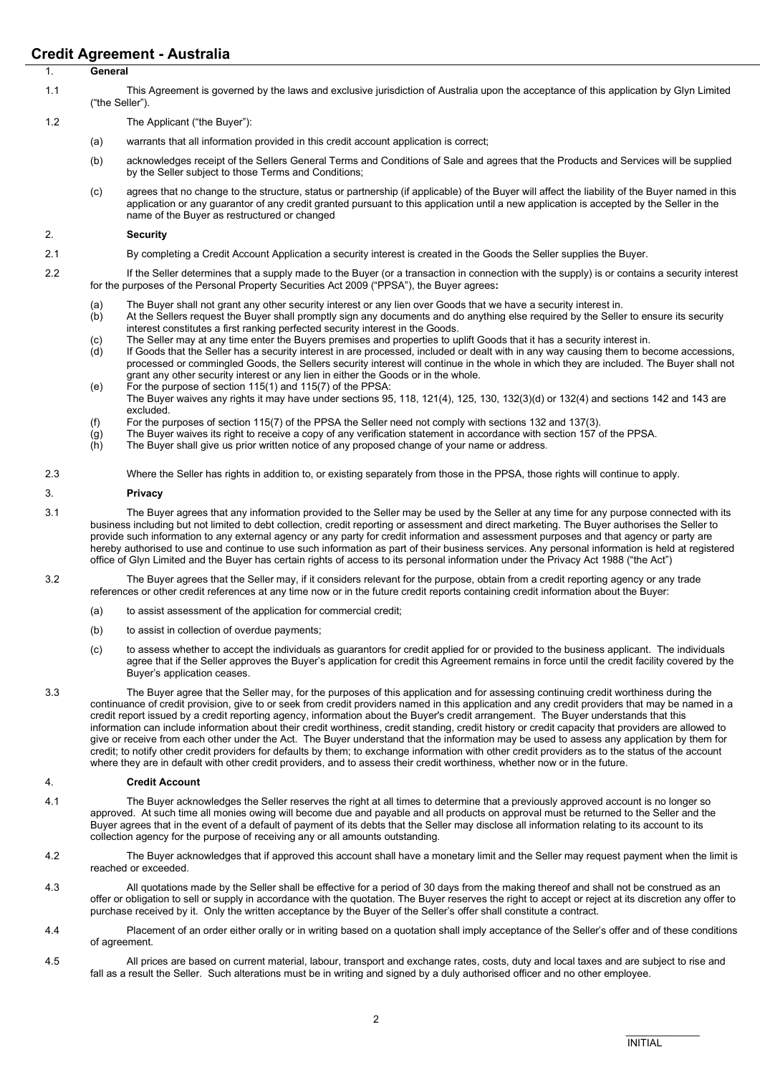# Credit Agreement - Australia

| Urealt Agreement - Australia |                                                                                                                                                           |                                                                                                                                                                                                                                                                                             |  |  |
|------------------------------|-----------------------------------------------------------------------------------------------------------------------------------------------------------|---------------------------------------------------------------------------------------------------------------------------------------------------------------------------------------------------------------------------------------------------------------------------------------------|--|--|
|                              | General                                                                                                                                                   |                                                                                                                                                                                                                                                                                             |  |  |
| 1.1                          | This Agreement is governed by the laws and exclusive jurisdiction of Australia upon the acceptance of this application by Glyn Limited<br>("the Seller"). |                                                                                                                                                                                                                                                                                             |  |  |
| 1.2                          |                                                                                                                                                           | The Applicant ("the Buyer"):                                                                                                                                                                                                                                                                |  |  |
|                              | (a)                                                                                                                                                       | warrants that all information provided in this credit account application is correct;                                                                                                                                                                                                       |  |  |
|                              | (b)                                                                                                                                                       | acknowledges receipt of the Sellers General Terms and Conditions of Sale and agrees that the Products and Services will be supplied<br>by the Seller subject to those Terms and Conditions;                                                                                                 |  |  |
|                              | (c)                                                                                                                                                       | agrees that no change to the structure, status or partnership (if applicable) of the Buyer will affect the liability of the Buyer named in this<br>application or any quarantor of any credit granted pursuant to this application until a new application is accepted by the Seller in the |  |  |

### 2. Security

- 2.1 By completing a Credit Account Application a security interest is created in the Goods the Seller supplies the Buyer.
- 2.2 If the Seller determines that a supply made to the Buyer (or a transaction in connection with the supply) is or contains a security interest for the purposes of the Personal Property Securities Act 2009 ("PPSA"), the Buyer agrees:
	-
	- (a) The Buyer shall not grant any other security interest or any lien over Goods that we have a security interest in.<br>(b) At the Sellers request the Buyer shall promptly sign any documents and do anything else required by At the Sellers request the Buyer shall promptly sign any documents and do anything else required by the Seller to ensure its security interest constitutes a first ranking perfected security interest in the Goods.
	- (c) The Seller may at any time enter the Buyers premises and properties to uplift Goods that it has a security interest in.<br>(d) If Goods that the Seller has a security interest in are processed, included or dealt with in a
	- If Goods that the Seller has a security interest in are processed, included or dealt with in any way causing them to become accessions, processed or commingled Goods, the Sellers security interest will continue in the whole in which they are included. The Buyer shall not grant any other security interest or any lien in either the Goods or in the whole.
	- (e) For the purpose of section 115(1) and 115(7) of the PPSA: The Buyer waives any rights it may have under sections 95, 118, 121(4), 125, 130, 132(3)(d) or 132(4) and sections 142 and 143 are excluded.
	- (f) For the purposes of section 115(7) of the PPSA the Seller need not comply with sections 132 and 137(3).
	- $\dot{g}$  The Buyer waives its right to receive a copy of any verification statement in accordance with section 157 of the PPSA.
	- (h) The Buyer shall give us prior written notice of any proposed change of your name or address.
- 2.3 Where the Seller has rights in addition to, or existing separately from those in the PPSA, those rights will continue to apply.

#### 3. Privacy

- 3.1 The Buyer agrees that any information provided to the Seller may be used by the Seller at any time for any purpose connected with its business including but not limited to debt collection, credit reporting or assessment and direct marketing. The Buyer authorises the Seller to provide such information to any external agency or any party for credit information and assessment purposes and that agency or party are hereby authorised to use and continue to use such information as part of their business services. Any personal information is held at registered office of Glyn Limited and the Buyer has certain rights of access to its personal information under the Privacy Act 1988 ("the Act")
- 3.2 The Buyer agrees that the Seller may, if it considers relevant for the purpose, obtain from a credit reporting agency or any trade references or other credit references at any time now or in the future credit reports containing credit information about the Buyer:
	- (a) to assist assessment of the application for commercial credit;

name of the Buyer as restructured or changed

- (b) to assist in collection of overdue payments;
- (c) to assess whether to accept the individuals as guarantors for credit applied for or provided to the business applicant. The individuals agree that if the Seller approves the Buyer's application for credit this Agreement remains in force until the credit facility covered by the Buyer's application ceases.
- 3.3 The Buyer agree that the Seller may, for the purposes of this application and for assessing continuing credit worthiness during the continuance of credit provision, give to or seek from credit providers named in this application and any credit providers that may be named in a credit report issued by a credit reporting agency, information about the Buyer's credit arrangement. The Buyer understands that this information can include information about their credit worthiness, credit standing, credit history or credit capacity that providers are allowed to give or receive from each other under the Act. The Buyer understand that the information may be used to assess any application by them for credit; to notify other credit providers for defaults by them; to exchange information with other credit providers as to the status of the account where they are in default with other credit providers, and to assess their credit worthiness, whether now or in the future.

### 4. Credit Account

- 4.1 The Buyer acknowledges the Seller reserves the right at all times to determine that a previously approved account is no longer so approved. At such time all monies owing will become due and payable and all products on approval must be returned to the Seller and the Buyer agrees that in the event of a default of payment of its debts that the Seller may disclose all information relating to its account to its collection agency for the purpose of receiving any or all amounts outstanding.
- 4.2 The Buyer acknowledges that if approved this account shall have a monetary limit and the Seller may request payment when the limit is reached or exceeded.
- 4.3 All quotations made by the Seller shall be effective for a period of 30 days from the making thereof and shall not be construed as an offer or obligation to sell or supply in accordance with the quotation. The Buyer reserves the right to accept or reject at its discretion any offer to purchase received by it. Only the written acceptance by the Buyer of the Seller's offer shall constitute a contract.
- 4.4 Placement of an order either orally or in writing based on a quotation shall imply acceptance of the Seller's offer and of these conditions of agreement.
- 4.5 All prices are based on current material, labour, transport and exchange rates, costs, duty and local taxes and are subject to rise and fall as a result the Seller. Such alterations must be in writing and signed by a duly authorised officer and no other employee.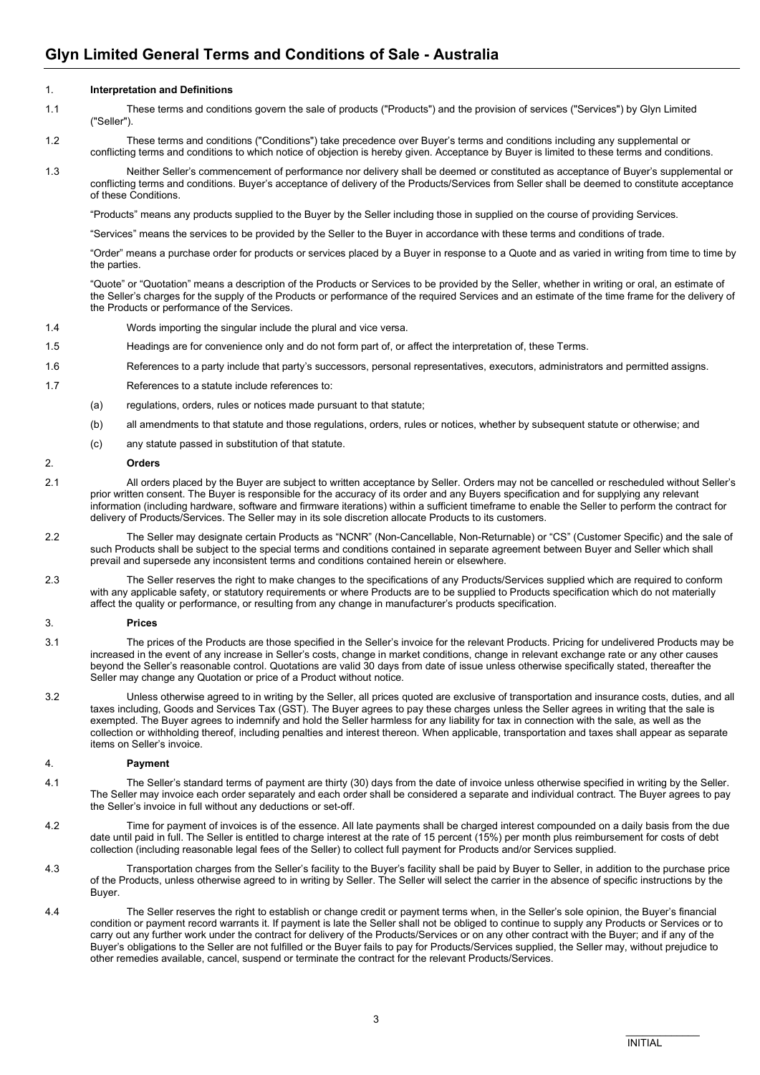# 1. Interpretation and Definitions

- 1.1 These terms and conditions govern the sale of products ("Products") and the provision of services ("Services") by Glyn Limited ("Seller").
- 1.2 These terms and conditions ("Conditions") take precedence over Buyer's terms and conditions including any supplemental or conflicting terms and conditions to which notice of objection is hereby given. Acceptance by Buyer is limited to these terms and conditions.
- 1.3 Neither Seller's commencement of performance nor delivery shall be deemed or constituted as acceptance of Buyer's supplemental or conflicting terms and conditions. Buyer's acceptance of delivery of the Products/Services from Seller shall be deemed to constitute acceptance of these Conditions.

"Products" means any products supplied to the Buyer by the Seller including those in supplied on the course of providing Services.

"Services" means the services to be provided by the Seller to the Buyer in accordance with these terms and conditions of trade.

"Order" means a purchase order for products or services placed by a Buyer in response to a Quote and as varied in writing from time to time by the parties.

"Quote" or "Quotation" means a description of the Products or Services to be provided by the Seller, whether in writing or oral, an estimate of the Seller's charges for the supply of the Products or performance of the required Services and an estimate of the time frame for the delivery of the Products or performance of the Services.

- 1.4 Words importing the singular include the plural and vice versa.
- 1.5 Headings are for convenience only and do not form part of, or affect the interpretation of, these Terms.
- 1.6 References to a party include that party's successors, personal representatives, executors, administrators and permitted assigns.
- 1.7 References to a statute include references to:
	- (a) regulations, orders, rules or notices made pursuant to that statute;
	- (b) all amendments to that statute and those regulations, orders, rules or notices, whether by subsequent statute or otherwise; and
	- (c) any statute passed in substitution of that statute.

#### 2. Orders

- 2.1 All orders placed by the Buyer are subject to written acceptance by Seller. Orders may not be cancelled or rescheduled without Seller's prior written consent. The Buyer is responsible for the accuracy of its order and any Buyers specification and for supplying any relevant information (including hardware, software and firmware iterations) within a sufficient timeframe to enable the Seller to perform the contract for delivery of Products/Services. The Seller may in its sole discretion allocate Products to its customers.
- 2.2 The Seller may designate certain Products as "NCNR" (Non-Cancellable, Non-Returnable) or "CS" (Customer Specific) and the sale of such Products shall be subject to the special terms and conditions contained in separate agreement between Buyer and Seller which shall prevail and supersede any inconsistent terms and conditions contained herein or elsewhere.
- 2.3 The Seller reserves the right to make changes to the specifications of any Products/Services supplied which are required to conform with any applicable safety, or statutory requirements or where Products are to be supplied to Products specification which do not materially affect the quality or performance, or resulting from any change in manufacturer's products specification.

#### 3. Prices

- 3.1 The prices of the Products are those specified in the Seller's invoice for the relevant Products. Pricing for undelivered Products may be increased in the event of any increase in Seller's costs, change in market conditions, change in relevant exchange rate or any other causes beyond the Seller's reasonable control. Quotations are valid 30 days from date of issue unless otherwise specifically stated, thereafter the Seller may change any Quotation or price of a Product without notice.
- 3.2 Unless otherwise agreed to in writing by the Seller, all prices quoted are exclusive of transportation and insurance costs, duties, and all taxes including, Goods and Services Tax (GST). The Buyer agrees to pay these charges unless the Seller agrees in writing that the sale is exempted. The Buyer agrees to indemnify and hold the Seller harmless for any liability for tax in connection with the sale, as well as the collection or withholding thereof, including penalties and interest thereon. When applicable, transportation and taxes shall appear as separate items on Seller's invoice.

# 4. Payment

- 4.1 The Seller's standard terms of payment are thirty (30) days from the date of invoice unless otherwise specified in writing by the Seller. The Seller may invoice each order separately and each order shall be considered a separate and individual contract. The Buyer agrees to pay the Seller's invoice in full without any deductions or set-off.
- 4.2 Time for payment of invoices is of the essence. All late payments shall be charged interest compounded on a daily basis from the due date until paid in full. The Seller is entitled to charge interest at the rate of 15 percent (15%) per month plus reimbursement for costs of debt collection (including reasonable legal fees of the Seller) to collect full payment for Products and/or Services supplied.
- 4.3 Transportation charges from the Seller's facility to the Buyer's facility shall be paid by Buyer to Seller, in addition to the purchase price of the Products, unless otherwise agreed to in writing by Seller. The Seller will select the carrier in the absence of specific instructions by the Buyer.
- 4.4 The Seller reserves the right to establish or change credit or payment terms when, in the Seller's sole opinion, the Buyer's financial condition or payment record warrants it. If payment is late the Seller shall not be obliged to continue to supply any Products or Services or to carry out any further work under the contract for delivery of the Products/Services or on any other contract with the Buyer; and if any of the Buyer's obligations to the Seller are not fulfilled or the Buyer fails to pay for Products/Services supplied, the Seller may, without prejudice to other remedies available, cancel, suspend or terminate the contract for the relevant Products/Services.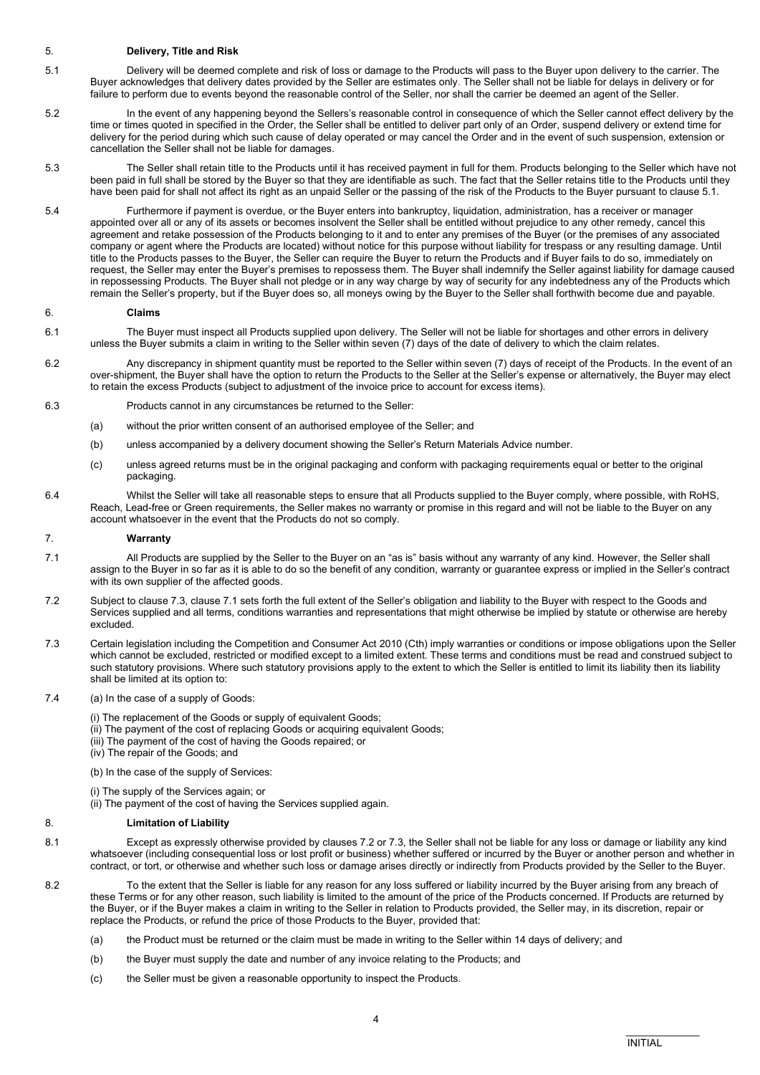## 5. Delivery, Title and Risk

- 5.1 Delivery will be deemed complete and risk of loss or damage to the Products will pass to the Buyer upon delivery to the carrier. The Buyer acknowledges that delivery dates provided by the Seller are estimates only. The Seller shall not be liable for delays in delivery or for failure to perform due to events beyond the reasonable control of the Seller, nor shall the carrier be deemed an agent of the Seller.
- 5.2 In the event of any happening beyond the Sellers's reasonable control in consequence of which the Seller cannot effect delivery by the time or times quoted in specified in the Order, the Seller shall be entitled to deliver part only of an Order, suspend delivery or extend time for delivery for the period during which such cause of delay operated or may cancel the Order and in the event of such suspension, extension or cancellation the Seller shall not be liable for damages.
- 5.3 The Seller shall retain title to the Products until it has received payment in full for them. Products belonging to the Seller which have not been paid in full shall be stored by the Buyer so that they are identifiable as such. The fact that the Seller retains title to the Products until they have been paid for shall not affect its right as an unpaid Seller or the passing of the risk of the Products to the Buyer pursuant to clause 5.1.
- 5.4 Furthermore if payment is overdue, or the Buyer enters into bankruptcy, liquidation, administration, has a receiver or manager appointed over all or any of its assets or becomes insolvent the Seller shall be entitled without prejudice to any other remedy, cancel this agreement and retake possession of the Products belonging to it and to enter any premises of the Buyer (or the premises of any associated company or agent where the Products are located) without notice for this purpose without liability for trespass or any resulting damage. Until title to the Products passes to the Buyer, the Seller can require the Buyer to return the Products and if Buyer fails to do so, immediately on request, the Seller may enter the Buyer's premises to repossess them. The Buyer shall indemnify the Seller against liability for damage caused in repossessing Products. The Buyer shall not pledge or in any way charge by way of security for any indebtedness any of the Products which remain the Seller's property, but if the Buyer does so, all moneys owing by the Buyer to the Seller shall forthwith become due and payable.

### 6. Claims

- 6.1 The Buyer must inspect all Products supplied upon delivery. The Seller will not be liable for shortages and other errors in delivery unless the Buyer submits a claim in writing to the Seller within seven (7) days of the date of delivery to which the claim relates.
- 6.2 Any discrepancy in shipment quantity must be reported to the Seller within seven (7) days of receipt of the Products. In the event of an over-shipment, the Buyer shall have the option to return the Products to the Seller at the Seller's expense or alternatively, the Buyer may elect to retain the excess Products (subject to adjustment of the invoice price to account for excess items).
- 6.3 Products cannot in any circumstances be returned to the Seller:
	- (a) without the prior written consent of an authorised employee of the Seller; and
	- (b) unless accompanied by a delivery document showing the Seller's Return Materials Advice number.
	- (c) unless agreed returns must be in the original packaging and conform with packaging requirements equal or better to the original packaging.
- 6.4 Whilst the Seller will take all reasonable steps to ensure that all Products supplied to the Buyer comply, where possible, with RoHS, Reach, Lead-free or Green requirements, the Seller makes no warranty or promise in this regard and will not be liable to the Buyer on any account whatsoever in the event that the Products do not so comply.

# 7. Warranty

- 7.1 All Products are supplied by the Seller to the Buyer on an "as is" basis without any warranty of any kind. However, the Seller shall assign to the Buyer in so far as it is able to do so the benefit of any condition, warranty or guarantee express or implied in the Seller's contract with its own supplier of the affected goods.
- 7.2 Subject to clause 7.3, clause 7.1 sets forth the full extent of the Seller's obligation and liability to the Buyer with respect to the Goods and Services supplied and all terms, conditions warranties and representations that might otherwise be implied by statute or otherwise are hereby excluded.
- 7.3 Certain legislation including the Competition and Consumer Act 2010 (Cth) imply warranties or conditions or impose obligations upon the Seller which cannot be excluded, restricted or modified except to a limited extent. These terms and conditions must be read and construed subject to such statutory provisions. Where such statutory provisions apply to the extent to which the Seller is entitled to limit its liability then its liability shall be limited at its option to:
- 7.4 (a) In the case of a supply of Goods:
	- (i) The replacement of the Goods or supply of equivalent Goods;
	- (ii) The payment of the cost of replacing Goods or acquiring equivalent Goods;
	- (iii) The payment of the cost of having the Goods repaired; or
	- (iv) The repair of the Goods; and
	- (b) In the case of the supply of Services:
	- (i) The supply of the Services again; or
	- (ii) The payment of the cost of having the Services supplied again.

# 8. Limitation of Liability

- 8.1 Except as expressly otherwise provided by clauses 7.2 or 7.3, the Seller shall not be liable for any loss or damage or liability any kind whatsoever (including consequential loss or lost profit or business) whether suffered or incurred by the Buyer or another person and whether in contract, or tort, or otherwise and whether such loss or damage arises directly or indirectly from Products provided by the Seller to the Buyer.
- 8.2 To the extent that the Seller is liable for any reason for any loss suffered or liability incurred by the Buyer arising from any breach of these Terms or for any other reason, such liability is limited to the amount of the price of the Products concerned. If Products are returned by the Buyer, or if the Buyer makes a claim in writing to the Seller in relation to Products provided, the Seller may, in its discretion, repair or replace the Products, or refund the price of those Products to the Buyer, provided that:
	- (a) the Product must be returned or the claim must be made in writing to the Seller within 14 days of delivery; and
	- (b) the Buyer must supply the date and number of any invoice relating to the Products; and
	- (c) the Seller must be given a reasonable opportunity to inspect the Products.